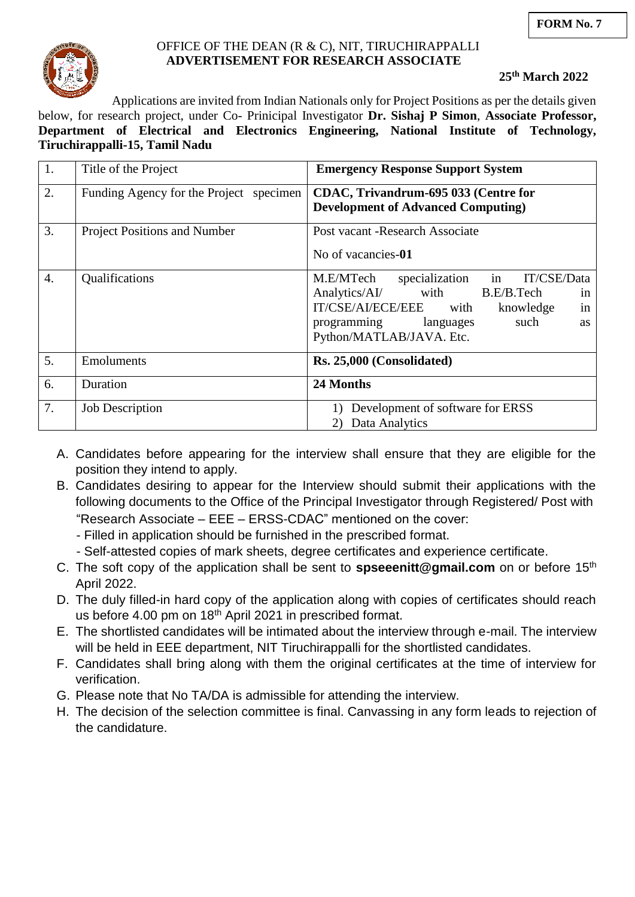

# OFFICE OF THE DEAN (R & C), NIT, TIRUCHIRAPPALLI  **ADVERTISEMENT FOR RESEARCH ASSOCIATE**

**25th March 2022**

Applications are invited from Indian Nationals only for Project Positions as per the details given

below, for research project, under Co- Prinicipal Investigator **Dr. Sishaj P Simon**, **Associate Professor, Department of Electrical and Electronics Engineering, National Institute of Technology, Tiruchirappalli-15, Tamil Nadu**

| 1.               | Title of the Project                    | <b>Emergency Response Support System</b>                                                                                                                                                                                   |  |  |
|------------------|-----------------------------------------|----------------------------------------------------------------------------------------------------------------------------------------------------------------------------------------------------------------------------|--|--|
| 2.               | Funding Agency for the Project specimen | CDAC, Trivandrum-695 033 (Centre for<br><b>Development of Advanced Computing)</b>                                                                                                                                          |  |  |
| 3.               | <b>Project Positions and Number</b>     | Post vacant - Research Associate<br>No of vacancies-01                                                                                                                                                                     |  |  |
| $\overline{4}$ . | Qualifications                          | in<br>IT/CSE/Data<br>M.E/MTech<br>specialization<br>Analytics/AI/<br>with<br>B.E/B.Tech<br>in<br>IT/CSE/AI/ECE/EEE<br>in<br>with<br>knowledge<br>such<br>programming<br>languages<br><b>as</b><br>Python/MATLAB/JAVA. Etc. |  |  |
| 5.               | Emoluments                              | Rs. 25,000 (Consolidated)                                                                                                                                                                                                  |  |  |
| 6.               | Duration                                | 24 Months                                                                                                                                                                                                                  |  |  |
| 7.               | <b>Job Description</b>                  | Development of software for ERSS<br>1)<br>Data Analytics                                                                                                                                                                   |  |  |

- A. Candidates before appearing for the interview shall ensure that they are eligible for the position they intend to apply.
- B. Candidates desiring to appear for the Interview should submit their applications with the following documents to the Office of the Principal Investigator through Registered/ Post with "Research Associate – EEE – ERSS-CDAC" mentioned on the cover:
	- Filled in application should be furnished in the prescribed format.
	- Self-attested copies of mark sheets, degree certificates and experience certificate.
- C. The soft copy of the application shall be sent to **spseeenitt@gmail.com** on or before 15th April 2022.
- D. The duly filled-in hard copy of the application along with copies of certificates should reach us before 4.00 pm on 18<sup>th</sup> April 2021 in prescribed format.
- E. The shortlisted candidates will be intimated about the interview through e-mail. The interview will be held in EEE department. NIT Tiruchirappalli for the shortlisted candidates.
- F. Candidates shall bring along with them the original certificates at the time of interview for verification.
- G. Please note that No TA/DA is admissible for attending the interview.
- H. The decision of the selection committee is final. Canvassing in any form leads to rejection of the candidature.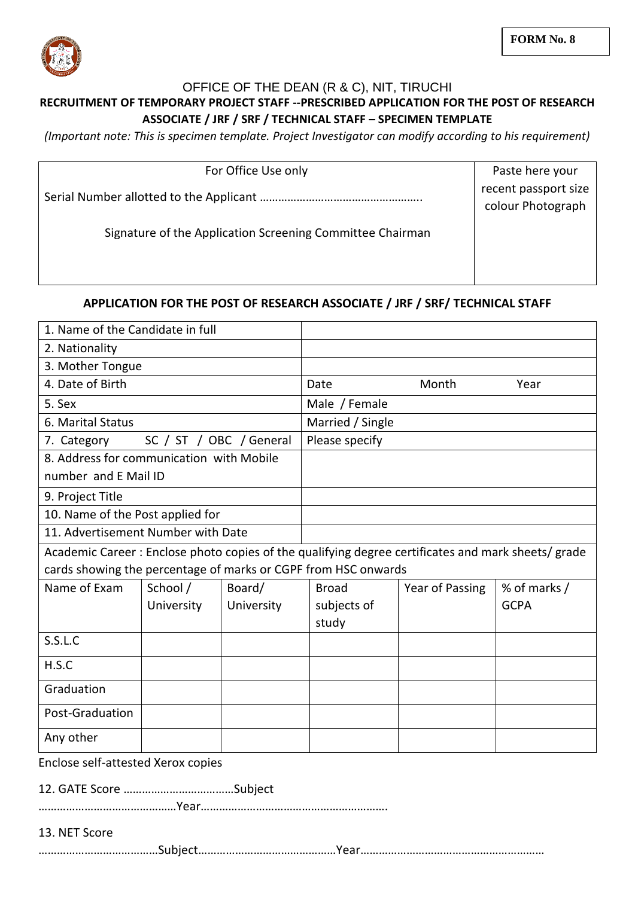

## OFFICE OF THE DEAN (R & C), NIT, TIRUCHI **RECRUITMENT OF TEMPORARY PROJECT STAFF --PRESCRIBED APPLICATION FOR THE POST OF RESEARCH ASSOCIATE / JRF / SRF / TECHNICAL STAFF – SPECIMEN TEMPLATE**

*(Important note: This is specimen template. Project Investigator can modify according to his requirement)*

| For Office Use only                                       | Paste here your                           |
|-----------------------------------------------------------|-------------------------------------------|
|                                                           | recent passport size<br>colour Photograph |
| Signature of the Application Screening Committee Chairman |                                           |
|                                                           |                                           |

## **APPLICATION FOR THE POST OF RESEARCH ASSOCIATE / JRF / SRF/ TECHNICAL STAFF**

| 1. Name of the Candidate in full                                                                   |            |            |                  |                 |              |  |
|----------------------------------------------------------------------------------------------------|------------|------------|------------------|-----------------|--------------|--|
| 2. Nationality                                                                                     |            |            |                  |                 |              |  |
| 3. Mother Tongue                                                                                   |            |            |                  |                 |              |  |
| 4. Date of Birth                                                                                   |            |            | Date             | Month           | Year         |  |
| 5. Sex                                                                                             |            |            | Male / Female    |                 |              |  |
| 6. Marital Status                                                                                  |            |            | Married / Single |                 |              |  |
| 7. Category<br>SC / ST / OBC / General                                                             |            |            | Please specify   |                 |              |  |
| 8. Address for communication with Mobile                                                           |            |            |                  |                 |              |  |
| number and E Mail ID                                                                               |            |            |                  |                 |              |  |
| 9. Project Title                                                                                   |            |            |                  |                 |              |  |
| 10. Name of the Post applied for                                                                   |            |            |                  |                 |              |  |
| 11. Advertisement Number with Date                                                                 |            |            |                  |                 |              |  |
| Academic Career: Enclose photo copies of the qualifying degree certificates and mark sheets/ grade |            |            |                  |                 |              |  |
| cards showing the percentage of marks or CGPF from HSC onwards                                     |            |            |                  |                 |              |  |
| Name of Exam                                                                                       | School /   | Board/     | <b>Broad</b>     | Year of Passing | % of marks / |  |
|                                                                                                    | University | University | subjects of      |                 | <b>GCPA</b>  |  |
|                                                                                                    |            |            | study            |                 |              |  |
| S.S.L.C                                                                                            |            |            |                  |                 |              |  |
| H.S.C                                                                                              |            |            |                  |                 |              |  |
| Graduation                                                                                         |            |            |                  |                 |              |  |
| Post-Graduation                                                                                    |            |            |                  |                 |              |  |
| Any other                                                                                          |            |            |                  |                 |              |  |
| Enclose self-attested Xerox copies                                                                 |            |            |                  |                 |              |  |
|                                                                                                    |            |            |                  |                 |              |  |
|                                                                                                    |            |            |                  |                 |              |  |
| 13. NET Score                                                                                      |            |            |                  |                 |              |  |
|                                                                                                    |            |            |                  |                 |              |  |